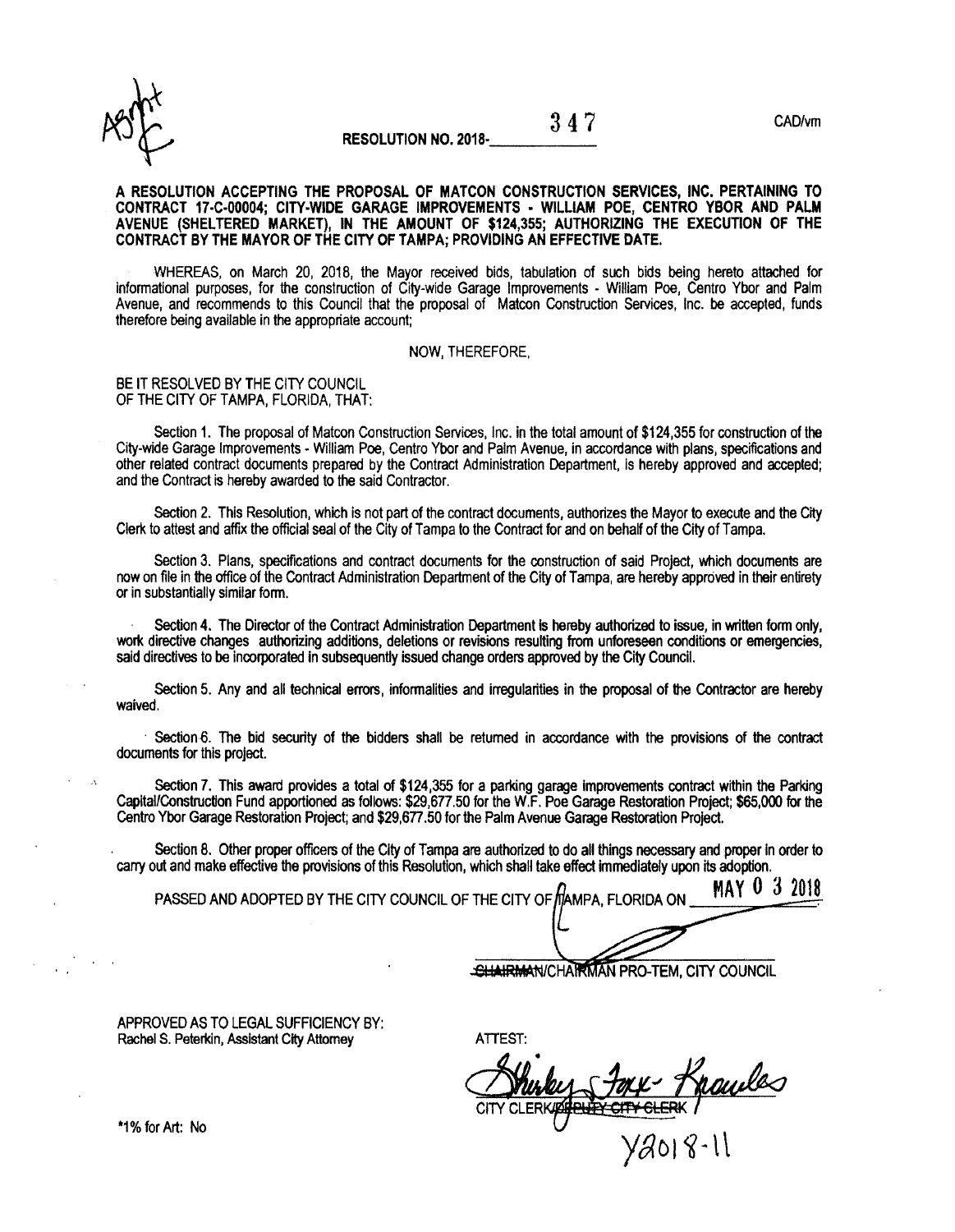

### RESOLUTION NO. 2018-

 $347$  CAD/vm

#### A RESOLUTION ACCEPTING THE PROPOSAL OF MATCON CONSTRUCTION SERVICES, lNC. PERTAINING TO CONTRACT 17-C-00004; CITY-WIDE GARAGE IMPROVEMENTS - WILLIAM POE, CENTRO YBOR AND PALM AVENUE (SHELTERED MARKET), IN THE AMOUNT OF \$124,355; AUTHORIZING THE EXECUTION OF THE CONTRACT BY THE MAYOR OF THE CITY OF TAMPA; PROVIDING AN EFFECTIVE DATE.

WHEREAS, on March 20, 2018, the Mayor received bids, tabulation of such bids being hereto attached for informational purposes, for the construction of City-wide Garage Improvements - William Poe, Centro Ybor and Palm Avenue, and recommends to this Council that the proposal of Matcon Construction Services, Inc. be accepted, funds therefore being available in the appropriate account;

#### NOW, THEREFORE,

#### BE IT RESOLVED BY THE CITY COUNCIL OF THE CITY OF TAMPA, FLORIDA, THAT:

Section 1. The proposal of Matcon Construction Services, Inc. in the total amount of \$124,355 for construction of the City-wide Garage Improvements - William Poe, Centro Ybor and Palm Avenue, in accordance with plans, specifications and other related contract documents prepared by the Contract Administration Department, is hereby approved and accepted; and the Contract is hereby awarded to the said Contractor.

Section 2. This Resolution, which is not part of the contract documents, authorizes the Mayor to execute and the City Clerk to attest and affix the official seal of the City of Tampa to the Contract for and on behalf of the City of Tampa.

Section 3. Plans, specifications and contract documents for the construction of said Project, which documents are now on file in the office of the Contract Administration Department of the City of Tampa, are hereby approved in their entirety or in substantially similar tom.

Section 4. The Director of the Contract Administration Department is hereby authorized to issue, in written form only, work directive changes authorizing additions, deletions or revisions resulting from unforeseen conditions or emergencies, said directives to be incorporated in subsequently issued change orders approved by the City Council.

Section 5. Any and all technical errors, informalities and inegularities in the proposal of the Contractor are hereby waived.

Section 6. The bid security of the bidders shall be returned in accordance with the provisions of the contract documents for this project.

Section 7. This award provides a total of \$124,355 for a parking garage improvements contract within the Parking Capital/Construction Fund apportioned as follows: \$29,677,50 for the W.F. Poe Garage Restoration Project; \$65,000 for the Centro Ybor Garage Restoration Project; and \$29,677.50 for the Palm Avenue Garage Restoration Project.

Section 8, Other proper offroers of the City of Tampa are authorized to do all things necessary and proper ln order to carry out and make effective the provisions of this Resolution, which shall take effect immediately upon its adoption.

**MAY 0 3 2018** PASSED AND ADOPTED BY THE CITY COUNCIL OF THE CITY OF MAMPA. FLORIDA ON

SHAIRMAN/CHAIRMAN PRO-TEM, CITY COUNCIL

APPROVED AS TO LEGAL SUFFICIENCY BY: Rachel S. Peterkin, Assistant Cfty Attomey

ATTEST:

 $\chi$ 4018-ll

\*1%forArt: No

 $\Lambda$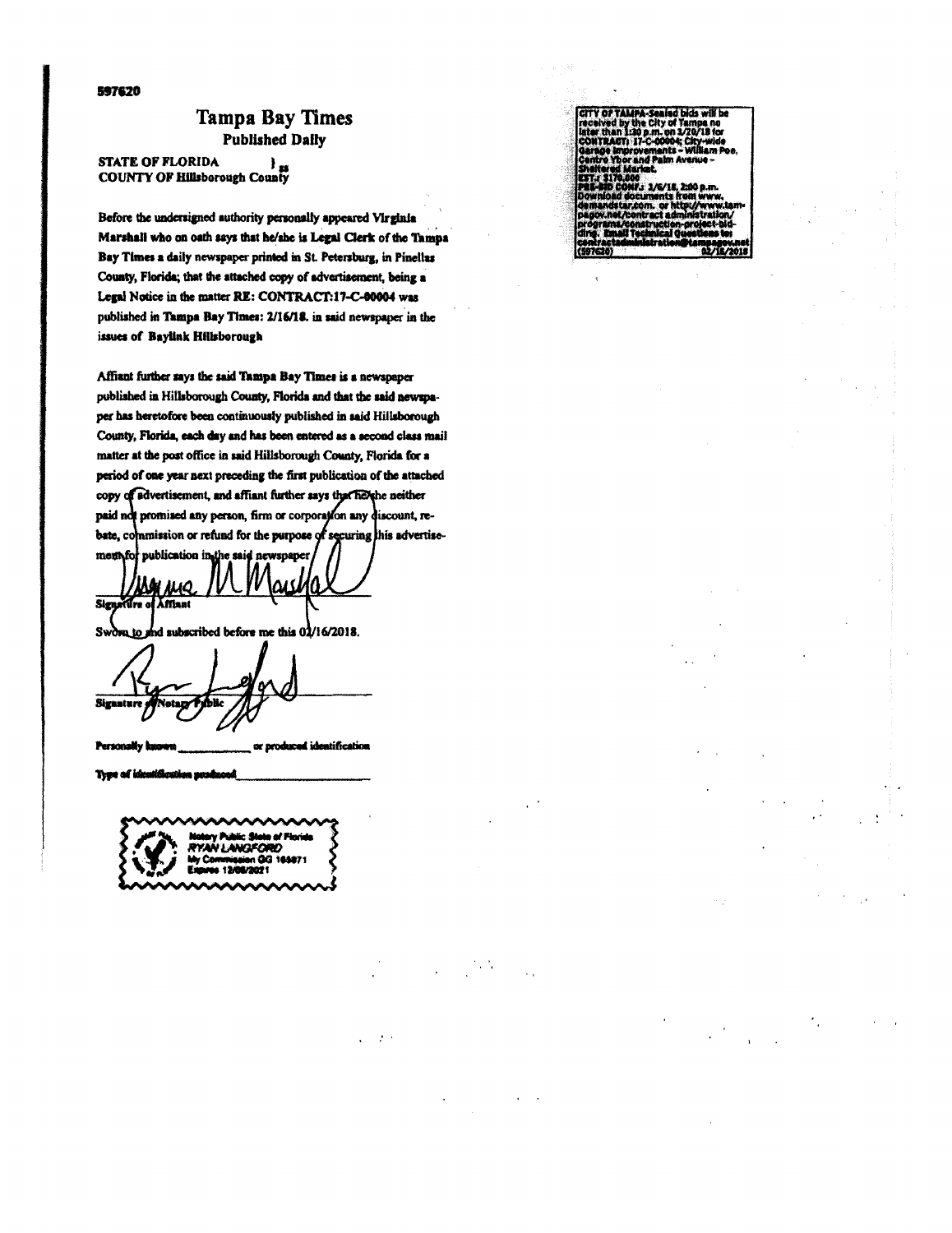#### 597620

### **Tampa Bay Times Published Daily**

**STATE OF FLORIDA** STATE OF FLORIDA }<br>COUNTY OF Hillsborough County

Before the undersigned authority personally appeared Virginia Marshall who on oath says that he/she is Legal Clerk of the Tampa Bay Times a daily newspaper printed in St. Petersburg, in Pinellas County, Florida; that the attached copy of advertisement, being a Legal Notice in the matter RE: CONTRACT:17-C-00004 was published in Tampa Bay Times: 2/16/18. in said newspaper in the issues of Baylink Hillsborough

Affiant further says the said Tampa Bay Times is a newspaper published in Hillsborough County, Florida and that the said newspaper has heretofore been continuously published in said Hillsborough County, Florida, each day and has been entered as a second class mail matter at the post office in said Hillsborough County, Florida for a period of one year next preceding the first publication of the attached copy of advertisement, and affiant further says that helphe neither paid not promised any person, firm or corporation any discount, rebate, commission or refund for the purpose of securing this advertise-

publication in the said newspaper mento **JUQ** Signature of Afflant

 $\overline{\phantom{a}}$  hd subscribed before me this  $0\overline{\phantom{a}}/16/2018$ . Swore to

Signature

Person uification or produ

Tere of i m nende

te of Flori N I ANGEO

 $\cdot$ 

CITY OF TAMPA-Sealed bids will be eceived by the City of Tampa no<br>sceived by the City of Tampa no<br>ONTRAGT: 17-C-00004; City-wide nts ia no De .<br>I.: 3/6/18. 2:00 p.m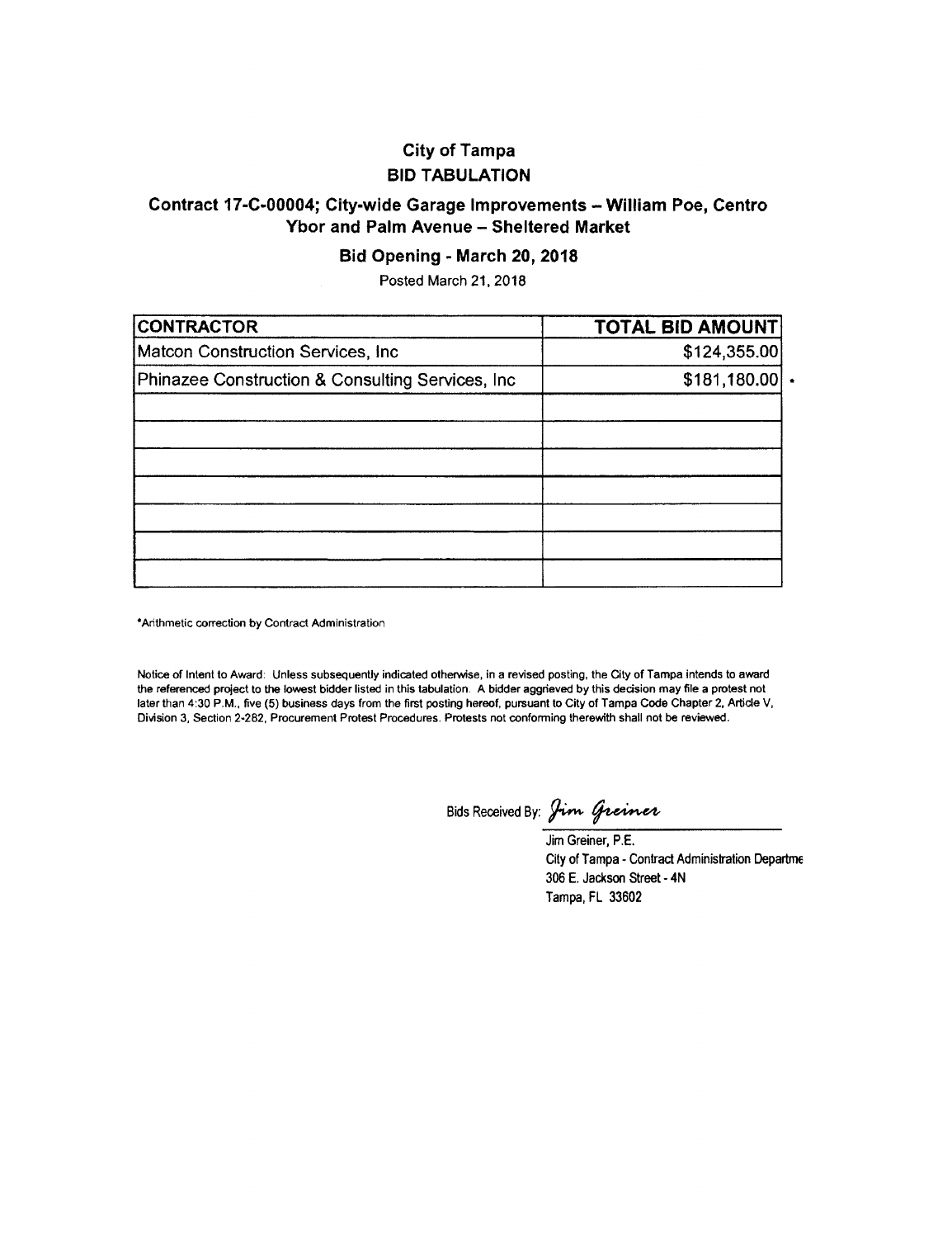## City of Tampa BID TABULATION

## Contract 17-C-00004; City-wide Garage Improvements - William Poe, Centro Ybor and Palm Avenue - Sheltered Market

### Bid Opening - March 20, 2018

Posted March 21, 2O18

| <b>CONTRACTOR</b>                                 | <b>TOTAL BID AMOUNT</b> |
|---------------------------------------------------|-------------------------|
| Matcon Construction Services, Inc.                | \$124,355.00            |
| Phinazee Construction & Consulting Services, Inc. | \$181,180.00            |
|                                                   |                         |
|                                                   |                         |
|                                                   |                         |
|                                                   |                         |
|                                                   |                         |
|                                                   |                         |

'Arithmetic correction by Contract Administration

Notice of Intent to Award: Unless subsequently indicated otherwise, in a revised posting, the City of Tampa intends to award the referenced project to the lowest bidder listed in this tabulation. A bidder aggrieved by this decision may file a protest not later than 4:30 P.M., five (5) business days from the first posting hereof, pursuant to City of Tampa Code Chapter 2, Article V, Division 3, Section 2-282, Procurement Protest Procedures. Protests not confoming therowith shall not be reviewed.

Bids Received By: Jim Greiner

Jim Greiner, P.E. City of Tampa - Contract Administration Departme 306 E. Jackson Street - 4N Tampa, FL 33602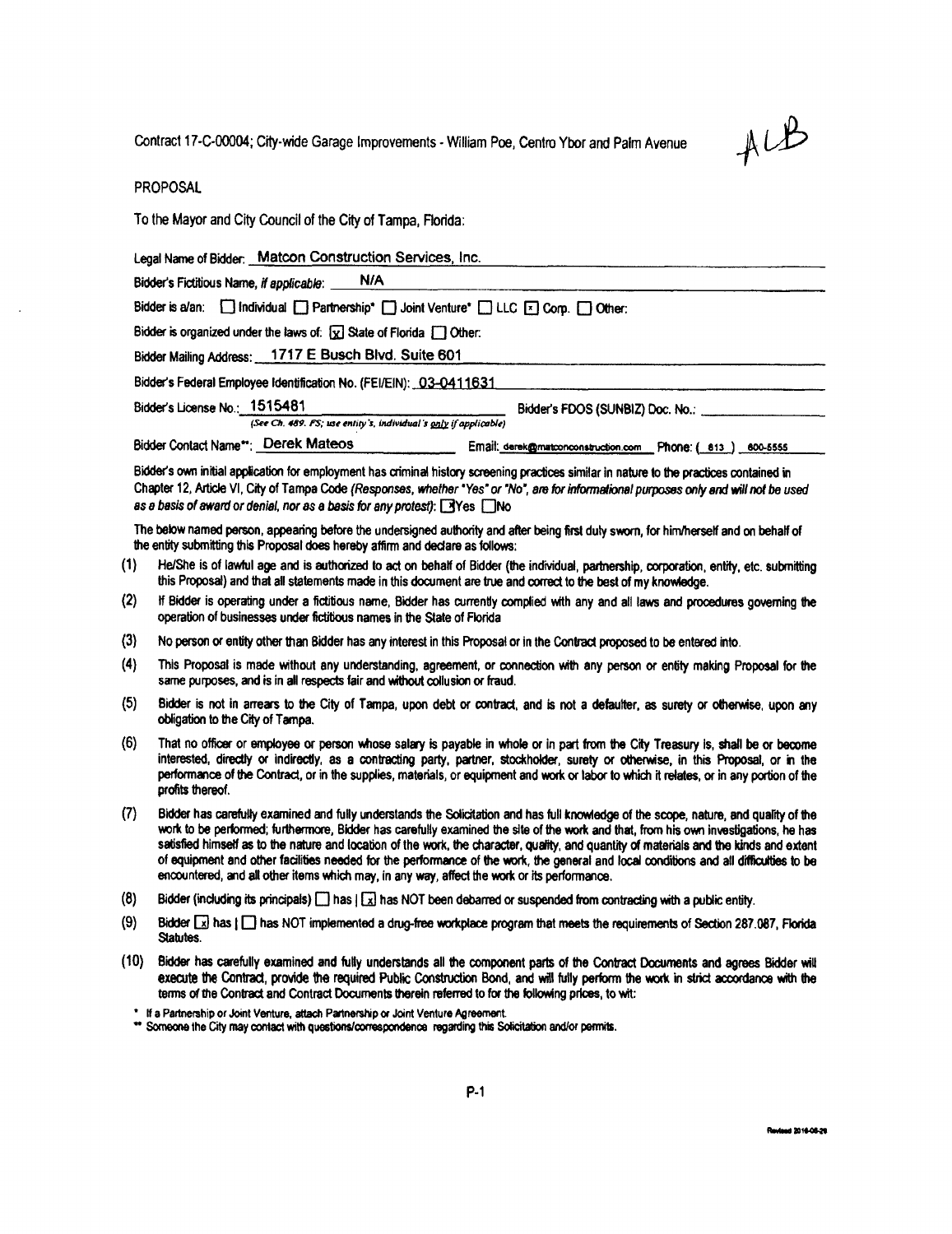Contract 17-C-00004; City-wide Garage Improvements - William Poe, Centro Ybor and Palm Avenue



**PROPOSAL** 

To the Mayor and City Council of the City of Tampa, Florida:

Legal Name of Bidder: Matcon Construction Services, Inc.

Bidder's Fictitious Name, if applicable: N/A

Bidder is a/an: Sindividual Santhership\* Soloint Venture\* Subsetted Corp. Solotter:

Bidder is organized under the laws of:  $\boxed{\chi}$  State of Florida  $\boxed{\phantom{a}}$  Other:

Bidder Mailing Address: 1717 E Busch Blvd. Suite 601

Bidder's Federal Employee Identification No. (FEI/EIN): 03-0411631

Bidder's License No.: 1515481

(See Ch. 489. FS; use entity's, individual's only if applicable)

Bidder Contact Name\*\*: Derek Mateos Email: derek@matconconstruction.com Phone: (813) 600-5555

Bidder's FDOS (SUNBIZ) Doc. No.:

Bidder's own initial application for employment has criminal history screening practices similar in nature to the practices contained in Chapter 12, Article VI, City of Tampa Code (Responses, whether "Yes" or "No", are for informational purposes only and will not be used as a basis of award or denial, nor as a basis for any protest):  $\Box$  Yes  $\Box$  No

The below named person, appearing before the undersigned authority and after being first duly sworn, for him/herself and on behalf of the entity submitting this Proposal does hereby affirm and declare as follows:

- He/She is of lawful age and is authorized to act on behalf of Bidder (the individual, partnership, corporation, entity, etc. submitting  $(1)$ this Proposal) and that all statements made in this document are true and correct to the best of my knowledge.
- $(2)$ If Bidder is operating under a fictitious name, Bidder has currently complied with any and all laws and procedures governing the operation of businesses under fictitious names in the State of Florida
- $(3)$ No person or entity other than Bidder has any interest in this Proposal or in the Contract proposed to be entered into.
- $(4)$ This Proposal is made without any understanding, agreement, or connection with any person or entity making Proposal for the same purposes, and is in all respects fair and without collusion or fraud.
- Bidder is not in arrears to the City of Tampa, upon debt or contract, and is not a defaulter, as surety or otherwise, upon any  $(5)$ obligation to the City of Tampa.
- That no officer or employee or person whose salary is payable in whole or in part from the City Treasury is, shall be or become  $(6)$ interested, directly or indirectly, as a contracting party, partner, stockholder, surety or otherwise, in this Proposal, or in the performance of the Contract, or in the supplies, materials, or equipment and work or labor to which it relates, or in any portion of the profits thereof.
- $(7)$ Bidder has carefully examined and fully understands the Solicitation and has full knowledge of the scope, nature, and quality of the work to be performed; furthermore, Bidder has carefully examined the site of the work and that, from his own investigations, he has satisfied himself as to the nature and location of the work, the character, quality, and quantity of materials and the kinds and extent of equipment and other facilities needed for the performance of the work, the general and local conditions and all difficulties to be encountered, and all other items which may, in any way, affect the work or its performance.
- $(8)$ Bidder (including its principals)  $\Box$  has  $\Box$  has NOT been debarred or suspended from contracting with a public entity.
- $(9)$ Bidder x has | has NOT implemented a drug-free workplace program that meets the requirements of Section 287.087, Florida Statutes.
- $(10)$ Bidder has carefully examined and fully understands all the component parts of the Contract Documents and agrees Bidder will execute the Contract, provide the required Public Construction Bond, and will fully perform the work in strict accordance with the terms of the Contract and Contract Documents therein referred to for the following prices, to wit:

\* If a Partnership or Joint Venture, attach Partnership or Joint Venture Agreement.

\*\* Someone the City may contact with questions/correspondence regarding this Solicitation and/or permits.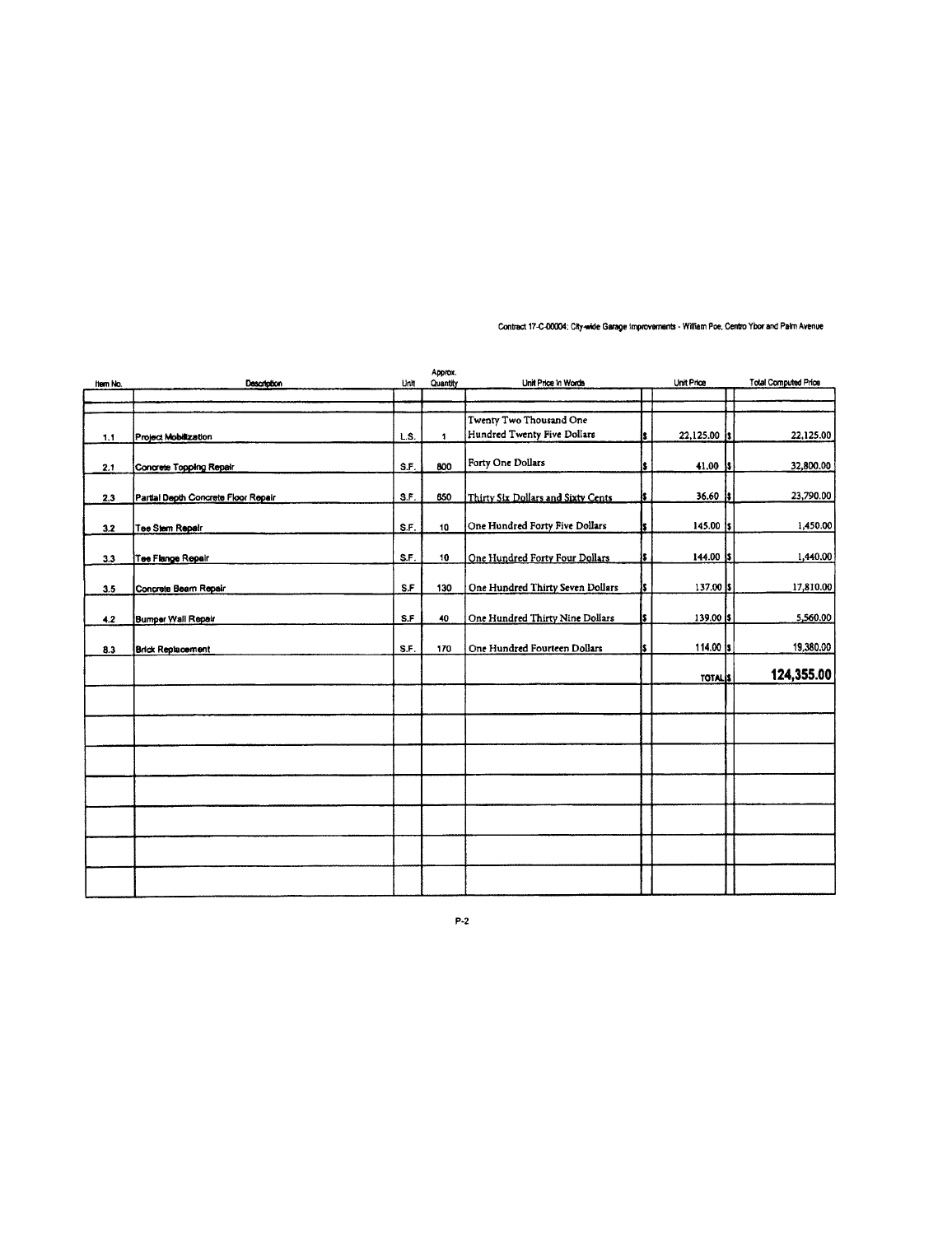| item No. | <b>Description</b>                  | Unit | Approx.<br>Quantity | Unit Price in Words                                    |     | Unit Price     | <b>Total Computed Price</b> |
|----------|-------------------------------------|------|---------------------|--------------------------------------------------------|-----|----------------|-----------------------------|
|          |                                     |      |                     |                                                        |     |                |                             |
|          |                                     | L.S. | 1                   | Twenty Two Thousand One<br>Hundred Twenty Five Dollars | s   | 22,125.00 is   | 22,125.00                   |
| 1,1      | Project Mobilization                |      |                     |                                                        |     |                |                             |
| 2.1      | Concrete Topping Repair             | S.F. | 800                 | Forty One Dollars                                      | ŝ   | $41.00$ s      | 32,800.00                   |
| 2.3      | Partial Depth Concrete Floor Repair | S.F. | 650                 | Thirty Six Dollars and Sixty Cents                     | IS. | 36.60<br>-15   | 23,790.00                   |
| 3.2      | Tee Stem Repair                     | S.F. | 10                  | One Hundred Forty Five Dollars                         | ls  | $145.00$ s     | 1,450.00                    |
| 3.3      | Tee Flange Repair                   | S.F. | 10                  | One Hundred Forty Four Dollars                         | s   | $144.00$  \$   | 1,440.00                    |
|          |                                     | S.F  | 130                 |                                                        | is. | 137.00 \$      | 17,810.00                   |
| 3.5      | Concrete Beam Repair                |      |                     | One Hundred Thirty Seven Dollars                       |     |                |                             |
| 4.2      | Bumper Wall Repair                  | S.F  | 40                  | One Hundred Thirty Nine Dollars                        |     | 139.00 \$      | 5,560.00                    |
| 8.3      | <b>Brick Replacement</b>            | S.F. | 170                 | One Hundred Fourteen Dollars                           | I\$ | 114.00 \$      | 19,380.00                   |
|          |                                     |      |                     |                                                        |     | <b>TOTAL</b> S | 124,355.00                  |
|          |                                     |      |                     |                                                        |     |                |                             |
|          |                                     |      |                     |                                                        |     |                |                             |
|          |                                     |      |                     |                                                        |     |                |                             |
|          |                                     |      |                     |                                                        |     |                |                             |
|          |                                     |      |                     |                                                        |     |                |                             |
|          |                                     |      |                     |                                                        |     |                |                             |
|          |                                     |      |                     |                                                        |     |                |                             |

Contract 17-C-00004; City-wide Garage Improvements - William Poe, Centro Ybor and Palm Avenue

 $P-2$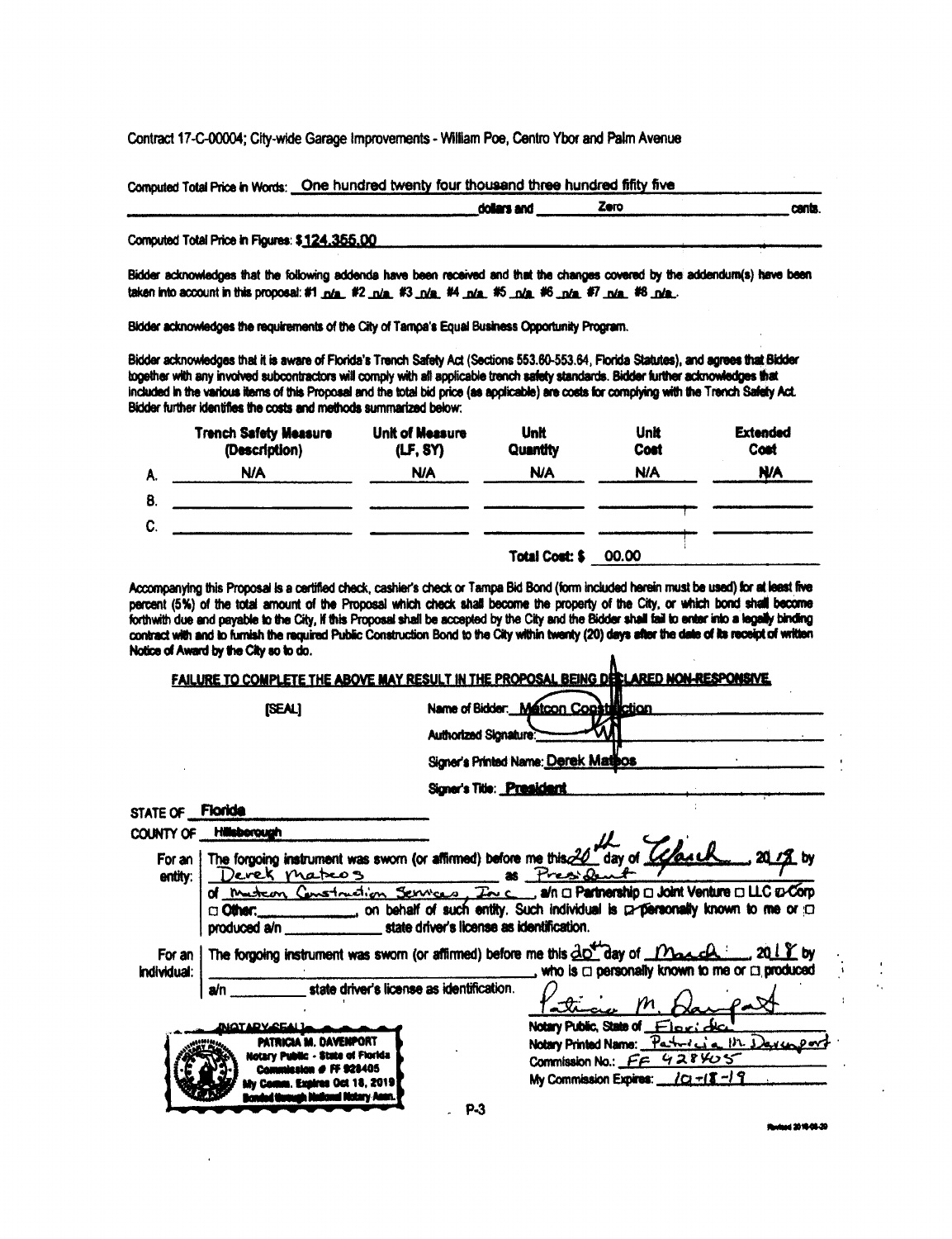Contract 17-C-00004; City-wide Garage Improvements - William Poe, Centro Ybor and Palm Avenue

Computed Total Price in Words: One hundred twenty four thousand three hundred fiftty five

|                                               | dollars and | Zore | cents |
|-----------------------------------------------|-------------|------|-------|
| Computed Total Price in Figures: \$124,355,00 |             |      |       |

Bidder acknowledges that the following addenda have been received and that the changes covered by the addendum(s) have been taken into account in this proposal: #1 n/a, #2 n/a, #3 n/a, #4 n/a, #5 n/a, #6 n/a, #7 n/a, #8 n/a.

Bidder acknowledges the requirements of the City of Tampa's Equal Business Opportunity Program.

Bidder acknowledges that it is aware of Florida's Trench Safety Act (Sections 553.60-553.64, Florida Statutes), and agrees that Bidder together with any involved subcontractors will comply with all applicable trench safety standards. Bidder further acknowledges that included in the various items of this Proposal and the total bid price (as applicable) are costs for complying with the Trench Safety Act. Bidder further identifies the costs and methods summarized below:

|    | <b>Trench Safety Measure</b><br>(Description) | <b>Unit of Measure</b><br>(LF, SY) | <b>Unit</b><br>Quantity | Unit<br>Cost | <b>Extended</b><br>Cost |
|----|-----------------------------------------------|------------------------------------|-------------------------|--------------|-------------------------|
| A. | <b>N/A</b>                                    | <b>N/A</b>                         | <b>N/A</b>              | <b>N/A</b>   | <b>N/A</b>              |
| В. |                                               |                                    |                         |              |                         |
| C. |                                               |                                    |                         |              |                         |
|    |                                               |                                    | <b>Total Cost: \$</b>   | 00.00        |                         |

Accompanying this Proposal is a certified check, cashier's check or Tampa Bid Bond (form included herein must be used) for at least five percent (5%) of the total amount of the Proposal which check shall become the property of the City, or which bond shall become forthwith due and payable to the City, if this Proposal shall be accepted by the City and the Bidder shall tail to enter into a legally binding contract with and to furnish the required Public Construction Bond to the City within twenty (20) days after the date of its receipt of written Notice of Award by the City so to do. À

|                                |                                                                                                      | FAILURE TO COMPLETE THE ABOVE MAY RESULT IN THE PROPOSAL BEING DECLARED NON-RESPONSIVE.                                                                                                                                                                                                                  |
|--------------------------------|------------------------------------------------------------------------------------------------------|----------------------------------------------------------------------------------------------------------------------------------------------------------------------------------------------------------------------------------------------------------------------------------------------------------|
|                                | [SEAL]                                                                                               | Name of Bidder. Matcon Constitution                                                                                                                                                                                                                                                                      |
|                                |                                                                                                      | Authorized Signature:                                                                                                                                                                                                                                                                                    |
|                                |                                                                                                      | Signer's Printed Name: Derek Mathos                                                                                                                                                                                                                                                                      |
|                                |                                                                                                      | Signer's Title: President                                                                                                                                                                                                                                                                                |
| STATE OF <b>Floride</b>        |                                                                                                      |                                                                                                                                                                                                                                                                                                          |
|                                | COUNTY OF Hillsborough                                                                               |                                                                                                                                                                                                                                                                                                          |
| entity:                        | Devek maters 85 President                                                                            | NTY OF Hillsborough<br>For an   The forgoing instrument was sworn (or affirmed) before me this 20 day of Consult 2017 by                                                                                                                                                                                 |
|                                | produced a/n ________________________ state driver's license as identification.                      | of musicary Construction Services, The c., and a Partnership a Joint Venture a LLC & Corp<br>ci Other: 000 content on behalf of such entity. Such individual is professorially known to me or content                                                                                                    |
| For an I<br><b>Individual:</b> |                                                                                                      | The forgoing instrument was sworn (or affirmed) before me this $\frac{\partial O^{\prime\prime}}{\partial}$ ay of $\frac{\partial O_{\prime\prime}}{\partial}$ $\frac{\partial O_{\prime\prime}}{\partial}$ 20 $\frac{1}{2}$ by<br>$\frac{1}{1}$ who is $\Box$ personally known to me or $\Box$ produced |
|                                | state driver's license as identification.<br>a/n                                                     | Strong M. Ha                                                                                                                                                                                                                                                                                             |
|                                | MATARY CEALL<br><b>PATRICIA M. DAVENPORT</b><br>Notary Public - State of Florida<br><b>FF 928405</b> | Notary Public, State of Florida<br>Notary Printed Name: Partners a 112 Davis Dor<br>Commission No.: FF 428405<br>My Commission Expires: $12+18-19$                                                                                                                                                       |
|                                | iv Camm, Exaires Oct 18, 2019<br>mmah Halkuni Matary Acon.                                           | P-3                                                                                                                                                                                                                                                                                                      |

**Russal 2016-08-20** 

 $\ddot{\phantom{1}}$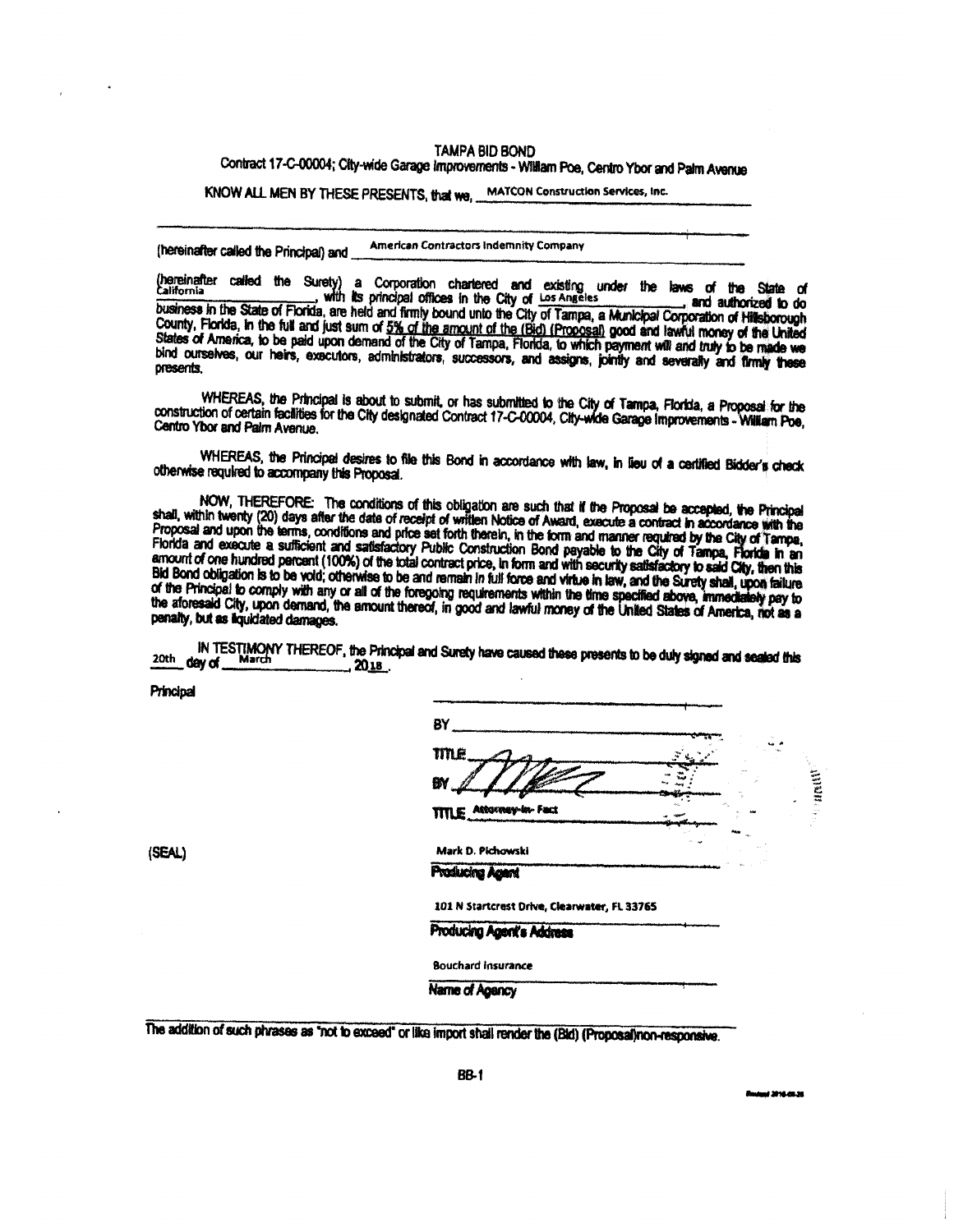### **TAMPA BID BOND**

# Contract 17-C-00004; City-wide Garage Improvements - William Poe, Centro Ybor and Palm Avenue

KNOW ALL MEN BY THESE PRESENTS, that we. MATCON Construction Services, Inc.

**American Contractors Indemnity Company** (hereinafter called the Principal) and

(hereinafter called the Surety) a Corporation chartered and existing under the laws of the State of<br>California ... with its principal offices in the City of Los Angeles ... and authorized to do<br>business in the State of Flo County, Florida, in the full and just sum of 5% of the amount of the (Bid) (Proposal) good and lawful money of the United<br>States of America, to be paid upon demand of the City of Tampa, Florida, to which payment will and t bind ourselves, our heirs, exacutors, administrators, successors, and assigns, jointly and severally and firmly these presents.

WHEREAS, the Principal is about to submit, or has submitted to the City of Tampa, Florida, a Proposal for the construction of certain facilities for the City designated Contract 17-C-00004, City-wide Garage Improvements - William Poe, Centro Ybor and Palm Avenue.

WHEREAS, the Principal desires to file this Bond in accordance with law, in lieu of a certified Bidder's check otherwise required to accompany this Proposal.

NOW, THEREFORE: The conditions of this obligation are such that if the Proposal be accepted, the Principal<br>shall, within twenty (20) days after the date of receipt of written Notice of Award, execute a contract in accordan Proposal and upon the terms, conditions and price set forth therein, in the form and manner required by the City of Tampa, Florida and upon the terms, conditions and price set forth therein, in the form and manner required Bid Bond obligation is to be vold; otherwise to be and remain in full force and virtue in law, and the Surety shall, upon failure of the Principal to comply with any or all of the foregoing requirements within the time specified above, immediately pay to the aforesaid City, upon demand, the amount thereof, in good and lawful money of the United States of America, not as a penalty, but as liquidated damages.

IN TESTIMONY THEREOF, the Principal and Surety have caused these presents to be duly signed and sealed this <sup>20th</sup> day of  $.2018.$ 

Principal

(SEAL)

| TM <sub>e</sub>           |               |   |
|---------------------------|---------------|---|
| BY                        |               | ē |
| Attorney-In-Fact<br>TITLE | $\frac{1}{2}$ |   |
| Mark D. Pichowski         |               |   |

Producing Agent's Address

**Bouchard Insurance** 

**Name of Agency** 

The addition of such phrases as "not to exceed" or like import shall render the (Bld) (Proposal)non-responsive.

وديون ووجاز استبدالا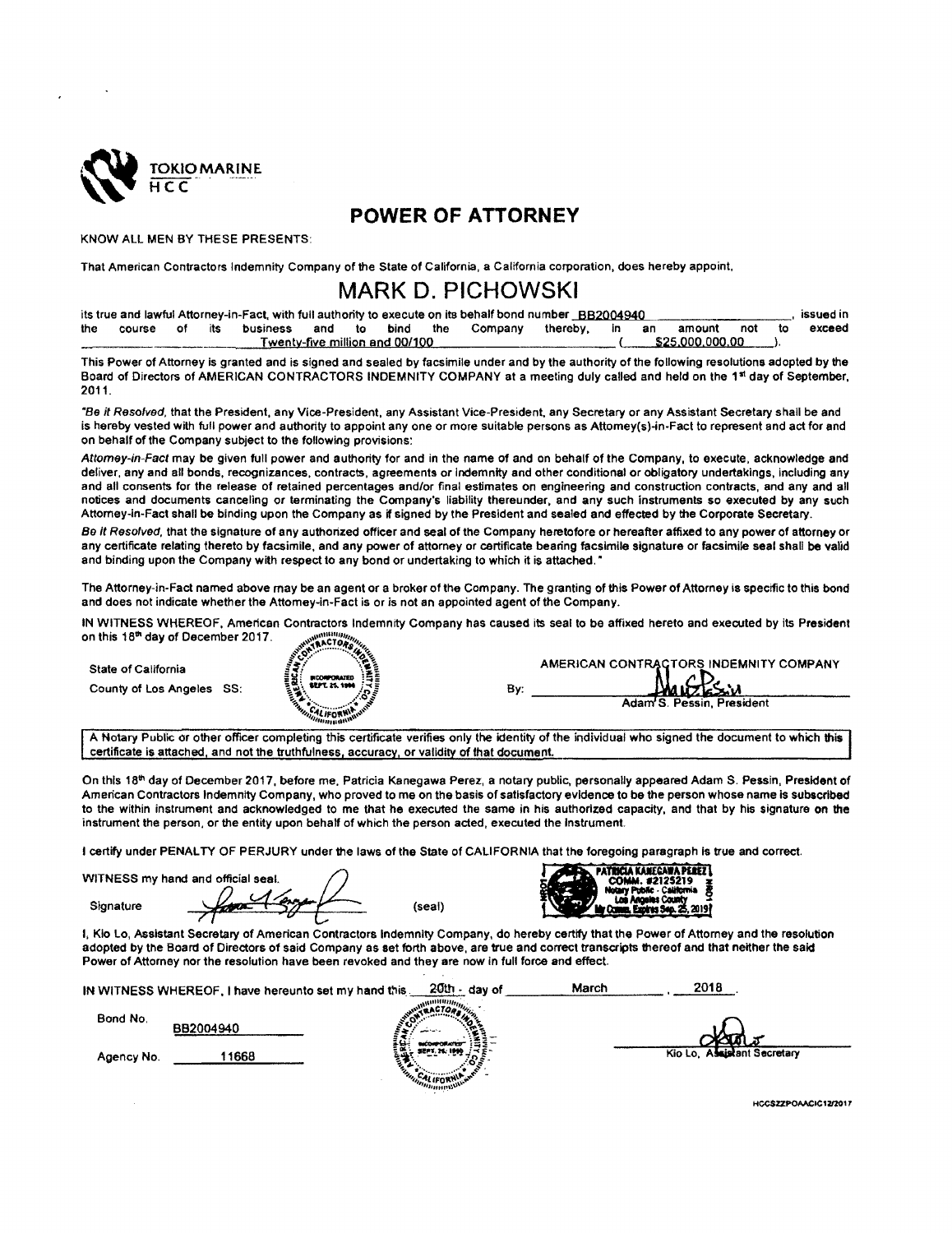

# POWER OF ATTORNEY

KNOWALL MEN BY THESE PRESENTS:

That American Contractors Indemnity Company of the State of California, a California corporation, does hereby appoint,

# MARK D. PICHOWSKl

|      |               |  |          |  |                                | its true and lawful Attorney-in-Fact, with full authority to execute on its behalf bond number BB2004940 |                       |  |                 |     |    | issued in |
|------|---------------|--|----------|--|--------------------------------|----------------------------------------------------------------------------------------------------------|-----------------------|--|-----------------|-----|----|-----------|
| the. | course of its |  | business |  | and to bind the                | Company                                                                                                  | thereby, in an amount |  |                 | not | to | exceed    |
|      |               |  |          |  | Twenty-five million and 00/100 |                                                                                                          |                       |  | \$25,000,000,00 |     |    |           |

This Power of Attorney is granted and is signed and sealed by facsimile under and by the authority of the following resolutions adopted by the Board of Directors of AMERICAN CONTRACTORS INDEMNITY COMPANY at a meeting duly called and held on the 1st day of September, 2011.

'8o /'f Rose/voa, that the President, any Vice-President, any Assistant Vice-President, any Secretary or any Assistant Secretary shall be arid is hereby vested with full power and authority to appoint any one or more suitable persons as Attomey(s)-in-Fact to represent and act for and on behalf of the Company subject to the following provisions:

Attomey-in-Fact may be given full power and authority for and in the name of and on behalf of the Company, to execute, acknowledge and deliver, any and all bonds, recognizances, contracts, agreements or indemnity and other conditional or obligatory undertakings, including any and all consents for the release of retained percentages and/or final estimates on engineering and construction contracts, and any and all notices and documents canceling or terminating the Company's liability thereunder, and any such instruments so executed by any such Attomey-in-Fact shall be binding upon the Company as if signed by the President and sealed and effected by the Corporate Secretary.

Be it Resolved, that the signature of any authorized officer and seal of the Company heretofore or hereafter affixed to any power of attorney or any certificate relating thereto by facsimile, and any power of attorney or certificate bearing facsimile signature or facsimile seal shall be valid and binding upon the Company with respect to any bond or undertaking to which it is attached."

The Attorney-in-Fact named above may be an agent or a broker of the Company. The granting of this Power of Attorney is specific to this bond and does not indicate whether the Attomey-in-Fact is or is not an appointed agent of the Company.

lN WITNESS WHEREOF, American Contractors lndemnrty Company has caused its seal to be aITlxed hereto and executed by its President on this 18® day of December 2017.

State of California

County of Los Angeles SS:



| B۷. | AMERICAN CONTRACTORS INDEMNITY COMPANY<br>Marcksin<br>Adam S. Pessin, President |
|-----|---------------------------------------------------------------------------------|
|-----|---------------------------------------------------------------------------------|

A Notary Public or other officer completing this certificate verifies only the identity of the individual who signed the document to which this certificate is attached, and not the truthfulness, accuracy, or validity of that document.

On this 18<sup>th</sup> day of December 2017, before me. Patricia Kanegawa Perez, a notary public, personally appeared Adam S. Pessin, President of American Contractors Indemnity Company, who proved to me on the basis of satisfactory evidence to be the person whose name is subscribed to the within instrument and acknowledged to me that he executed the same in his authorized capacity, and that by his signature on the instrument the person, or the entity upon behalf of which the person acted, executed the instrument.

I certify under PENALTY OF PERJURY under the laws ot the State of CALIFORNIA that the foregoing paragraph is true and correct.

WITNESS my hand and official seal. Sionature

 $2$ 

(seal)



I, Kio Lo, Assistant Secretary of American Contractors Indemnity Company, do hereby certify that the Power of Attorney and the resolution adopted by the Board of Directors of said Company as set forth above, are true and correct transcripts thereof and that neither the said Power of Attorney nor the resolution have been revoked and they are now in full force and effect.

|            | IN WITNESS WHEREOF, I have hereunto set my hand this. | 20th - day of        | 2018<br>March               |  |
|------------|-------------------------------------------------------|----------------------|-----------------------------|--|
| Bond No.   | BB2004940                                             | <b>AMP</b>           |                             |  |
| Agency No. | 1668                                                  | 통남.<br>SEPT 26, 1999 | Kio Lo, Assistant Secretary |  |

HCCSZZPOAACIC12/2017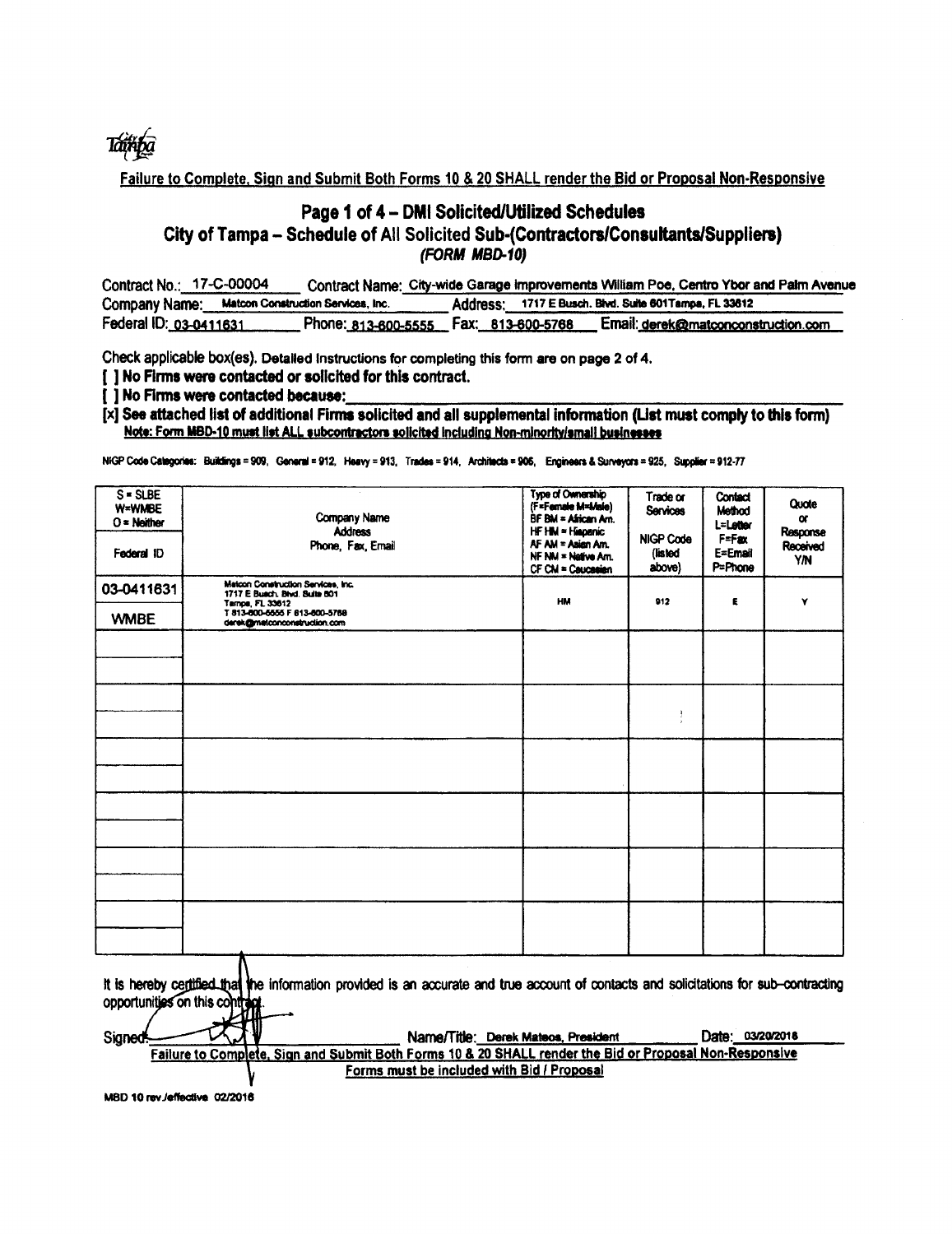

Failure to Complete, Sign and Submit Both Forms 10 & 20 SHALL render the Bid or Proposal Non-Responsive

## Page 1 of 4 - DMI Solicited/Utilized Schedules City of Tampa - Schedule of All Solicited Sub-(Contractors/Consultants/Suppliers) (FORM MBD-10)

| Contract No.: 17-C-00004                         | Contract Name: City-wide Garage improvements William Poe, Centro Ybor and Palm Avenue |  |                                                        |                                     |  |  |
|--------------------------------------------------|---------------------------------------------------------------------------------------|--|--------------------------------------------------------|-------------------------------------|--|--|
| Company Name: Matcon Construction Services, Inc. |                                                                                       |  | Address: 1717 E Busch. Blvd. Suite 601 Tamps, FL 33612 |                                     |  |  |
| Federal ID: 03-0411631                           | Phone: 813-600-5555    Fax: 813-600-5768                                              |  |                                                        | Email: derek@matconconstruction.com |  |  |

Check applicable box(es). Detailed instructions for completing this form are on page 2 of 4.

[ ] No Firms were contacted or solicited for this contract.

[] No Firms were contacted because:

[x] See attached list of additional Firms solicited and all supplemental information (List must comply to this form) Note: Form MBD-10 must list ALL subcontractors solicited including Non-minority/small businesses

NIGP Code Categories: Buildings = 909, General = 912, Heavy = 913, Trades = 914, Architects = 906, Engineers & Surveyors = 925, Supplier = 912-77

| $S = S LBE$<br>W=WMBE<br>$O =$ Neither<br>Federal ID                                                                                                                                                                                                                                                                                                      | Company Name<br><b>Address</b><br>Phone, Fax, Email                                    | Type of Ownership<br>(F=Famale M=Male)<br>BF BM = African Am.<br>HF HM = Hispanic<br>AF AM = Asian Am.<br>NF NM = Native Am.<br>CF CM = Caucasian | Trade or<br><b>Services</b><br><b>NIGP Code</b><br>(listed<br>above) | Contact<br>Method<br>L=Letter<br>F=Fax<br>E=Email<br>P=Phone | Quote<br>$\alpha$<br>Response<br>Received<br>YN |  |  |
|-----------------------------------------------------------------------------------------------------------------------------------------------------------------------------------------------------------------------------------------------------------------------------------------------------------------------------------------------------------|----------------------------------------------------------------------------------------|---------------------------------------------------------------------------------------------------------------------------------------------------|----------------------------------------------------------------------|--------------------------------------------------------------|-------------------------------------------------|--|--|
| 03-0411631                                                                                                                                                                                                                                                                                                                                                | Matcon Construction Services, Inc.<br>1717 E Busch, Blvd. Suite 601<br>Tampa, FL 33612 | HM                                                                                                                                                | 912                                                                  | E                                                            | Y                                               |  |  |
| <b>WMBE</b>                                                                                                                                                                                                                                                                                                                                               | T 813-800-6555 F 813-800-5768<br>derek@matconconstruction.com                          |                                                                                                                                                   |                                                                      |                                                              |                                                 |  |  |
|                                                                                                                                                                                                                                                                                                                                                           |                                                                                        |                                                                                                                                                   |                                                                      |                                                              |                                                 |  |  |
|                                                                                                                                                                                                                                                                                                                                                           |                                                                                        |                                                                                                                                                   |                                                                      |                                                              |                                                 |  |  |
|                                                                                                                                                                                                                                                                                                                                                           |                                                                                        |                                                                                                                                                   |                                                                      |                                                              |                                                 |  |  |
|                                                                                                                                                                                                                                                                                                                                                           |                                                                                        |                                                                                                                                                   | $\mathbf{f}$                                                         |                                                              |                                                 |  |  |
|                                                                                                                                                                                                                                                                                                                                                           |                                                                                        |                                                                                                                                                   |                                                                      |                                                              |                                                 |  |  |
|                                                                                                                                                                                                                                                                                                                                                           |                                                                                        |                                                                                                                                                   |                                                                      |                                                              |                                                 |  |  |
|                                                                                                                                                                                                                                                                                                                                                           |                                                                                        |                                                                                                                                                   |                                                                      |                                                              |                                                 |  |  |
|                                                                                                                                                                                                                                                                                                                                                           |                                                                                        |                                                                                                                                                   |                                                                      |                                                              |                                                 |  |  |
|                                                                                                                                                                                                                                                                                                                                                           |                                                                                        |                                                                                                                                                   |                                                                      |                                                              |                                                 |  |  |
|                                                                                                                                                                                                                                                                                                                                                           |                                                                                        |                                                                                                                                                   |                                                                      |                                                              |                                                 |  |  |
|                                                                                                                                                                                                                                                                                                                                                           |                                                                                        |                                                                                                                                                   |                                                                      |                                                              |                                                 |  |  |
|                                                                                                                                                                                                                                                                                                                                                           |                                                                                        |                                                                                                                                                   |                                                                      |                                                              |                                                 |  |  |
| It is hereby certified that the information provided is an accurate and true account of contacts and solicitations for sub-contracting<br>opportunities on this contract.<br>Date: 03/20/2018<br>Name/Title: Derek Mateos, President<br>Signed<br>Failure to Complete, Sign and Submit Both Forms 10 & 20 SHALL render the Bid or Proposal Non-Responsive |                                                                                        |                                                                                                                                                   |                                                                      |                                                              |                                                 |  |  |

<u>upusar</u> Forms must be included with Bid / Proposal

MBD 10 rev./effective 02/2016